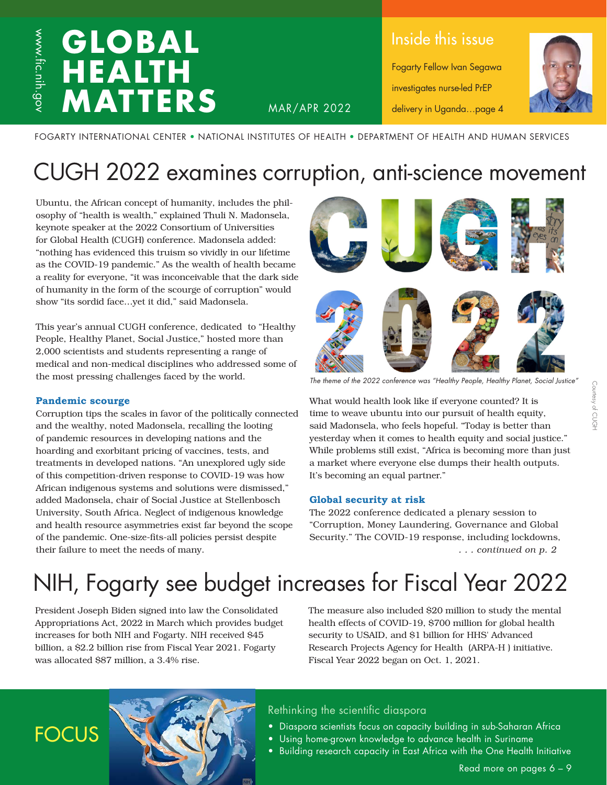### **GLOBAL HEALTH MATTERS**

Inside this issue

Fogarty Fellow Ivan Segawa investigates nurse-led PrEP delivery in Uganda…page 4



FOGARTY INTERNATIONAL CENTER • NATIONAL INSTITUTES OF HEALTH • DEPARTMENT OF HEALTH AND HUMAN SERVICES

MAR/APR 2022

### CUGH 2022 examines corruption, anti-science movement

Ubuntu, the African concept of humanity, includes the philosophy of "health is wealth," explained Thuli N. Madonsela, keynote speaker at the 2022 Consortium of Universities for Global Health (CUGH) conference. Madonsela added: "nothing has evidenced this truism so vividly in our lifetime as the COVID-19 pandemic." As the wealth of health became a reality for everyone, "it was inconceivable that the dark side of humanity in the form of the scourge of corruption" would show "its sordid face…yet it did," said Madonsela.

This year's annual CUGH conference, dedicated to "Healthy People, Healthy Planet, Social Justice," hosted more than 2,000 scientists and students representing a range of medical and non-medical disciplines who addressed some of the most pressing challenges faced by the world.

### **Pandemic scourge**

**FOCUS** 

Corruption tips the scales in favor of the politically connected and the wealthy, noted Madonsela, recalling the looting of pandemic resources in developing nations and the hoarding and exorbitant pricing of vaccines, tests, and treatments in developed nations. "An unexplored ugly side of this competition-driven response to COVID-19 was how African indigenous systems and solutions were dismissed," added Madonsela, chair of Social Justice at Stellenbosch University, South Africa. Neglect of indigenous knowledge and health resource asymmetries exist far beyond the scope of the pandemic. One-size-fits-all policies persist despite their failure to meet the needs of many.



*The theme of the 2022 conference was "Healthy People, Healthy Planet, Social Justice"*

What would health look like if everyone counted? It is time to weave ubuntu into our pursuit of health equity, said Madonsela, who feels hopeful. "Today is better than yesterday when it comes to health equity and social justice." While problems still exist, "Africa is becoming more than just a market where everyone else dumps their health outputs. It's becoming an equal partner."

#### **Global security at risk**

*. . . continued on p. 2* The 2022 conference dedicated a plenary session to "Corruption, Money Laundering, Governance and Global Security." The COVID-19 response, including lockdowns,

### NIH, Fogarty see budget increases for Fiscal Year 2022

President Joseph Biden signed into law the Consolidated Appropriations Act, 2022 in March which provides budget increases for both NIH and Fogarty. NIH received \$45 billion, a \$2.2 billion rise from Fiscal Year 2021. Fogarty was allocated \$87 million, a 3.4% rise.

The measure also included \$20 million to study the mental health effects of COVID-19, \$700 million for global health security to USAID, and \$1 billion for HHS' Advanced Research Projects Agency for Health (ARPA-H ) initiative. Fiscal Year 2022 began on Oct. 1, 2021.

### Rethinking the scientific diaspora

- Diaspora scientists focus on capacity building in sub-Saharan Africa
- Using home-grown knowledge to advance health in Suriname
- Building research capacity in East Africa with the One Health Initiative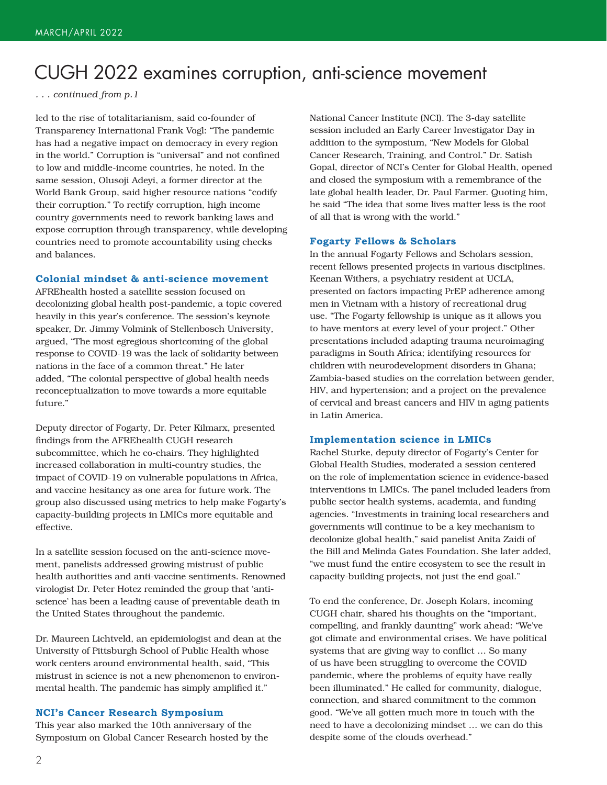### CUGH 2022 examines corruption, anti-science movement

*. . . continued from p.1*

led to the rise of totalitarianism, said co-founder of Transparency International Frank Vogl: "The pandemic has had a negative impact on democracy in every region in the world." Corruption is "universal" and not confined to low and middle-income countries, he noted. In the same session, Olusoji Adeyi, a former director at the World Bank Group, said higher resource nations "codify their corruption." To rectify corruption, high income country governments need to rework banking laws and expose corruption through transparency, while developing countries need to promote accountability using checks and balances.

#### **Colonial mindset & anti-science movement**

AFREhealth hosted a satellite session focused on decolonizing global health post-pandemic, a topic covered heavily in this year's conference. The session's keynote speaker, Dr. Jimmy Volmink of Stellenbosch University, argued, "The most egregious shortcoming of the global response to COVID-19 was the lack of solidarity between nations in the face of a common threat." He later added, "The colonial perspective of global health needs reconceptualization to move towards a more equitable future."

Deputy director of Fogarty, Dr. Peter Kilmarx, presented findings from the AFREhealth CUGH research subcommittee, which he co-chairs. They highlighted increased collaboration in multi-country studies, the impact of COVID-19 on vulnerable populations in Africa, and vaccine hesitancy as one area for future work. The group also discussed using metrics to help make Fogarty's capacity-building projects in LMICs more equitable and effective.

In a satellite session focused on the anti-science movement, panelists addressed growing mistrust of public health authorities and anti-vaccine sentiments. Renowned virologist Dr. Peter Hotez reminded the group that 'antiscience' has been a leading cause of preventable death in the United States throughout the pandemic.

Dr. Maureen Lichtveld, an epidemiologist and dean at the University of Pittsburgh School of Public Health whose work centers around environmental health, said, "This mistrust in science is not a new phenomenon to environmental health. The pandemic has simply amplified it."

#### **NCI's Cancer Research Symposium**

This year also marked the 10th anniversary of the Symposium on Global Cancer Research hosted by the National Cancer Institute (NCI). The 3-day satellite session included an Early Career Investigator Day in addition to the symposium, "New Models for Global Cancer Research, Training, and Control." Dr. Satish Gopal, director of NCI's Center for Global Health, opened and closed the symposium with a remembrance of the late global health leader, Dr. Paul Farmer. Quoting him, he said "The idea that some lives matter less is the root of all that is wrong with the world."

#### **Fogarty Fellows & Scholars**

In the annual Fogarty Fellows and Scholars session, recent fellows presented projects in various disciplines. Keenan Withers, a psychiatry resident at UCLA, presented on factors impacting PrEP adherence among men in Vietnam with a history of recreational drug use. "The Fogarty fellowship is unique as it allows you to have mentors at every level of your project." Other presentations included adapting trauma neuroimaging paradigms in South Africa; identifying resources for children with neurodevelopment disorders in Ghana; Zambia-based studies on the correlation between gender, HIV, and hypertension; and a project on the prevalence of cervical and breast cancers and HIV in aging patients in Latin America.

#### **Implementation science in LMICs**

Rachel Sturke, deputy director of Fogarty's Center for Global Health Studies, moderated a session centered on the role of implementation science in evidence-based interventions in LMICs. The panel included leaders from public sector health systems, academia, and funding agencies. "Investments in training local researchers and governments will continue to be a key mechanism to decolonize global health," said panelist Anita Zaidi of the Bill and Melinda Gates Foundation. She later added, "we must fund the entire ecosystem to see the result in capacity-building projects, not just the end goal."

To end the conference, Dr. Joseph Kolars, incoming CUGH chair, shared his thoughts on the "important, compelling, and frankly daunting" work ahead: "We've got climate and environmental crises. We have political systems that are giving way to conflict … So many of us have been struggling to overcome the COVID pandemic, where the problems of equity have really been illuminated." He called for community, dialogue, connection, and shared commitment to the common good. "We've all gotten much more in touch with the need to have a decolonizing mindset … we can do this despite some of the clouds overhead."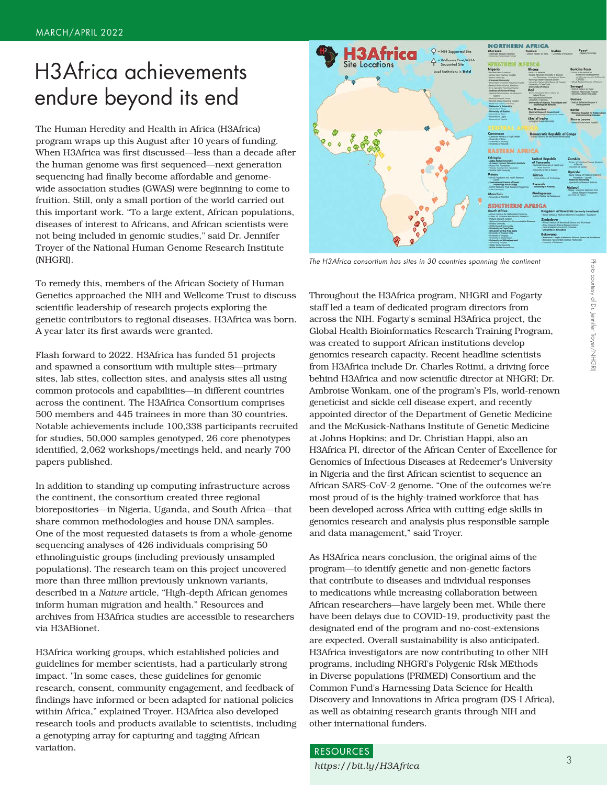### H3Africa achievements endure beyond its end

The Human Heredity and Health in Africa (H3Africa) program wraps up this August after 10 years of funding. When H3Africa was first discussed—less than a decade after the human genome was first sequenced—next generation sequencing had finally become affordable and genomewide association studies (GWAS) were beginning to come to fruition. Still, only a small portion of the world carried out this important work. "To a large extent, African populations, diseases of interest to Africans, and African scientists were not being included in genomic studies," said Dr. Jennifer Troyer of the National Human Genome Research Institute (NHGRI).

To remedy this, members of the African Society of Human Genetics approached the NIH and Wellcome Trust to discuss scientific leadership of research projects exploring the genetic contributors to regional diseases. H3Africa was born. A year later its first awards were granted.

Flash forward to 2022. H3Africa has funded 51 projects and spawned a consortium with multiple sites—primary sites, lab sites, collection sites, and analysis sites all using common protocols and capabilities—in different countries across the continent. The H3Africa Consortium comprises 500 members and 445 trainees in more than 30 countries. Notable achievements include 100,338 participants recruited for studies, 50,000 samples genotyped, 26 core phenotypes identified, 2,062 workshops/meetings held, and nearly 700 papers published.

In addition to standing up computing infrastructure across the continent, the consortium created three regional biorepositories—in Nigeria, Uganda, and South Africa—that share common methodologies and house DNA samples. One of the most requested datasets is from a whole-genome sequencing analyses of 426 individuals comprising 50 ethnolinguistic groups (including previously unsampled populations). The research team on this project uncovered more than three million previously unknown variants, described in a *Nature* article, "High-depth African genomes inform human migration and health." Resources and archives from H3Africa studies are accessible to researchers via H3ABionet.

H3Africa working groups, which established policies and guidelines for member scientists, had a particularly strong impact. "In some cases, these guidelines for genomic research, consent, community engagement, and feedback of findings have informed or been adapted for national policies within Africa," explained Troyer. H3Africa also developed research tools and products available to scientists, including a genotyping array for capturing and tagging African variation.



*The H3Africa consortium has sites in 30 countries spanning the continent*

Throughout the H3Africa program, NHGRI and Fogarty staff led a team of dedicated program directors from across the NIH. Fogarty's seminal H3Africa project, the Global Health Bioinformatics Research Training Program, was created to support African institutions develop genomics research capacity. Recent headline scientists from H3Africa include Dr. Charles Rotimi, a driving force behind H3Africa and now scientific director at NHGRI; Dr. Ambroise Wonkam, one of the program's PIs, world-renown geneticist and sickle cell disease expert, and recently appointed director of the Department of Genetic Medicine and the McKusick-Nathans Institute of Genetic Medicine at Johns Hopkins; and Dr. Christian Happi, also an H3Africa PI, director of the African Center of Excellence for Genomics of Infectious Diseases at Redeemer's University in Nigeria and the first African scientist to sequence an African SARS-CoV-2 genome. "One of the outcomes we're most proud of is the highly-trained workforce that has been developed across Africa with cutting-edge skills in genomics research and analysis plus responsible sample and data management," said Troyer.

As H3Africa nears conclusion, the original aims of the program—to identify genetic and non-genetic factors that contribute to diseases and individual responses to medications while increasing collaboration between African researchers—have largely been met. While there have been delays due to COVID-19, productivity past the designated end of the program and no-cost-extensions are expected. Overall sustainability is also anticipated. H3Africa investigators are now contributing to other NIH programs, including NHGRI's Polygenic RIsk MEthods in Diverse populations (PRIMED) Consortium and the Common Fund's Harnessing Data Science for Health Discovery and Innovations in Africa program (DS-I Africa), as well as obtaining research grants through NIH and other international funders.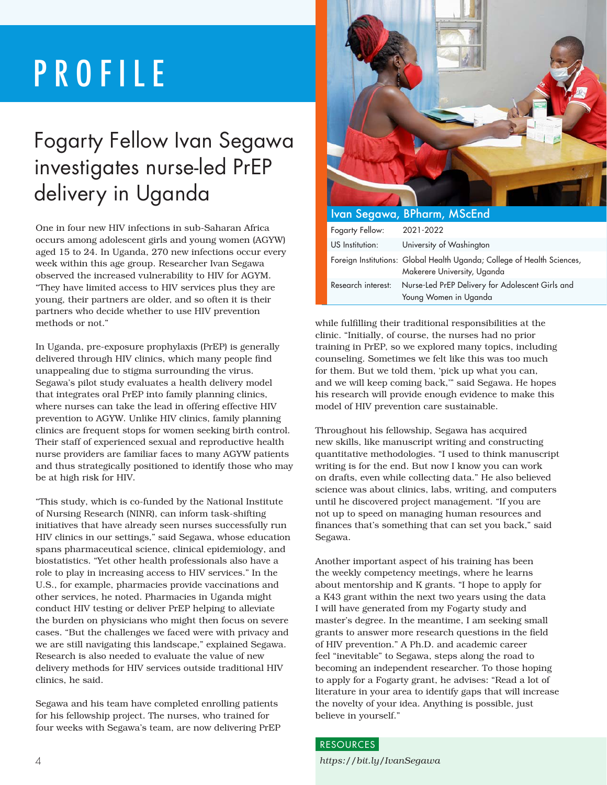## PROFILE

### Fogarty Fellow Ivan Segawa investigates nurse-led PrEP delivery in Uganda

One in four new HIV infections in sub-Saharan Africa occurs among adolescent girls and young women (AGYW) aged 15 to 24. In Uganda, 270 new infections occur every week within this age group. Researcher Ivan Segawa observed the increased vulnerability to HIV for AGYM. "They have limited access to HIV services plus they are young, their partners are older, and so often it is their partners who decide whether to use HIV prevention methods or not."

In Uganda, pre-exposure prophylaxis (PrEP) is generally delivered through HIV clinics, which many people find unappealing due to stigma surrounding the virus. Segawa's pilot study evaluates a health delivery model that integrates oral PrEP into family planning clinics, where nurses can take the lead in offering effective HIV prevention to AGYW. Unlike HIV clinics, family planning clinics are frequent stops for women seeking birth control. Their staff of experienced sexual and reproductive health nurse providers are familiar faces to many AGYW patients and thus strategically positioned to identify those who may be at high risk for HIV.

"This study, which is co-funded by the National Institute of Nursing Research (NINR), can inform task-shifting initiatives that have already seen nurses successfully run HIV clinics in our settings," said Segawa, whose education spans pharmaceutical science, clinical epidemiology, and biostatistics. "Yet other health professionals also have a role to play in increasing access to HIV services." In the U.S., for example, pharmacies provide vaccinations and other services, he noted. Pharmacies in Uganda might conduct HIV testing or deliver PrEP helping to alleviate the burden on physicians who might then focus on severe cases. "But the challenges we faced were with privacy and we are still navigating this landscape," explained Segawa. Research is also needed to evaluate the value of new delivery methods for HIV services outside traditional HIV clinics, he said.

Segawa and his team have completed enrolling patients for his fellowship project. The nurses, who trained for four weeks with Segawa's team, are now delivering PrEP



|                    | Ivan Segawa, BPharm, MScEnd                                                                            |
|--------------------|--------------------------------------------------------------------------------------------------------|
| Fogarty Fellow:    | 2021-2022                                                                                              |
| US Institution:    | University of Washington                                                                               |
|                    | Foreign Institutions: Global Health Uganda; College of Health Sciences,<br>Makerere University, Uganda |
| Research interest: | Nurse-Led PrEP Delivery for Adolescent Girls and<br>Young Women in Uganda                              |

while fulfilling their traditional responsibilities at the clinic. "Initially, of course, the nurses had no prior training in PrEP, so we explored many topics, including counseling. Sometimes we felt like this was too much for them. But we told them, 'pick up what you can, and we will keep coming back,'" said Segawa. He hopes his research will provide enough evidence to make this model of HIV prevention care sustainable.

Throughout his fellowship, Segawa has acquired new skills, like manuscript writing and constructing quantitative methodologies. "I used to think manuscript writing is for the end. But now I know you can work on drafts, even while collecting data." He also believed science was about clinics, labs, writing, and computers until he discovered project management. "If you are not up to speed on managing human resources and finances that's something that can set you back," said Segawa.

Another important aspect of his training has been the weekly competency meetings, where he learns about mentorship and K grants. "I hope to apply for a K43 grant within the next two years using the data I will have generated from my Fogarty study and master's degree. In the meantime, I am seeking small grants to answer more research questions in the field of HIV prevention." A Ph.D. and academic career feel "inevitable" to Segawa, steps along the road to becoming an independent researcher. To those hoping to apply for a Fogarty grant, he advises: "Read a lot of literature in your area to identify gaps that will increase the novelty of your idea. Anything is possible, just believe in yourself."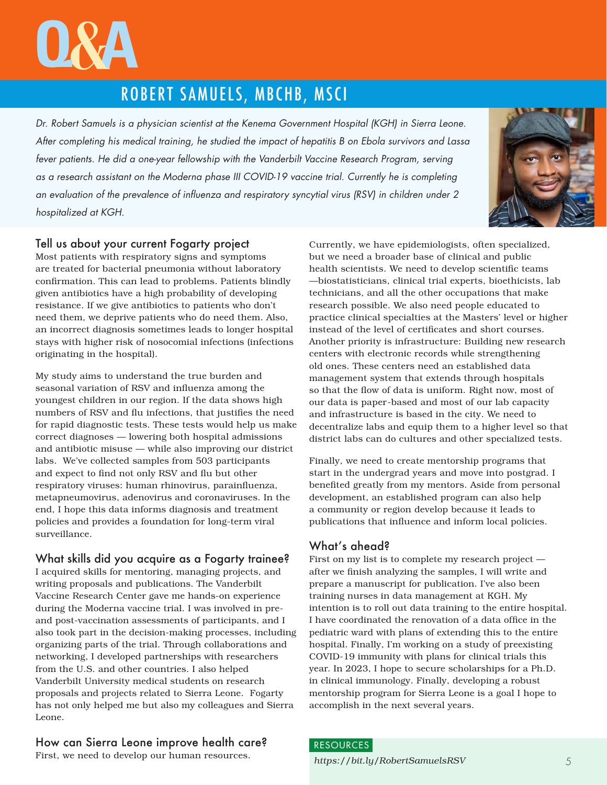# **<sup>Q</sup>**&**<sup>A</sup>**

### ROBERT SAMUELS, MBCHB, MSCI

*Dr. Robert Samuels is a physician scientist at the Kenema Government Hospital (KGH) in Sierra Leone. After completing his medical training, he studied the impact of hepatitis B on Ebola survivors and Lassa fever patients. He did a one-year fellowship with the Vanderbilt Vaccine Research Program, serving as a research assistant on the Moderna phase III COVID-19 vaccine trial. Currently he is completing an evaluation of the prevalence of influenza and respiratory syncytial virus (RSV) in children under 2 hospitalized at KGH.* 



### Tell us about your current Fogarty project

Most patients with respiratory signs and symptoms are treated for bacterial pneumonia without laboratory confirmation. This can lead to problems. Patients blindly given antibiotics have a high probability of developing resistance. If we give antibiotics to patients who don't need them, we deprive patients who do need them. Also, an incorrect diagnosis sometimes leads to longer hospital stays with higher risk of nosocomial infections (infections originating in the hospital).

My study aims to understand the true burden and seasonal variation of RSV and influenza among the youngest children in our region. If the data shows high numbers of RSV and flu infections, that justifies the need for rapid diagnostic tests. These tests would help us make correct diagnoses — lowering both hospital admissions and antibiotic misuse — while also improving our district labs. We've collected samples from 503 participants and expect to find not only RSV and flu but other respiratory viruses: human rhinovirus, parainfluenza, metapneumovirus, adenovirus and coronaviruses. In the end, I hope this data informs diagnosis and treatment policies and provides a foundation for long-term viral surveillance.

### What skills did you acquire as a Fogarty trainee?

I acquired skills for mentoring, managing projects, and writing proposals and publications. The Vanderbilt Vaccine Research Center gave me hands-on experience during the Moderna vaccine trial. I was involved in preand post-vaccination assessments of participants, and I also took part in the decision-making processes, including organizing parts of the trial. Through collaborations and networking, I developed partnerships with researchers from the U.S. and other countries. I also helped Vanderbilt University medical students on research proposals and projects related to Sierra Leone. Fogarty has not only helped me but also my colleagues and Sierra Leone.

### How can Sierra Leone improve health care?

First, we need to develop our human resources.

Currently, we have epidemiologists, often specialized, but we need a broader base of clinical and public health scientists. We need to develop scientific teams —biostatisticians, clinical trial experts, bioethicists, lab technicians, and all the other occupations that make research possible. We also need people educated to practice clinical specialties at the Masters' level or higher instead of the level of certificates and short courses. Another priority is infrastructure: Building new research centers with electronic records while strengthening old ones. These centers need an established data management system that extends through hospitals so that the flow of data is uniform. Right now, most of our data is paper-based and most of our lab capacity and infrastructure is based in the city. We need to decentralize labs and equip them to a higher level so that district labs can do cultures and other specialized tests.

Finally, we need to create mentorship programs that start in the undergrad years and move into postgrad. I benefited greatly from my mentors. Aside from personal development, an established program can also help a community or region develop because it leads to publications that influence and inform local policies.

### What's ahead?

First on my list is to complete my research project after we finish analyzing the samples, I will write and prepare a manuscript for publication. I've also been training nurses in data management at KGH. My intention is to roll out data training to the entire hospital. I have coordinated the renovation of a data office in the pediatric ward with plans of extending this to the entire hospital. Finally, I'm working on a study of preexisting COVID-19 immunity with plans for clinical trials this year. In 2023, I hope to secure scholarships for a Ph.D. in clinical immunology. Finally, developing a robust mentorship program for Sierra Leone is a goal I hope to accomplish in the next several years.

### *https://bit.ly/RobertSamuelsRSV* 5 RESOURCES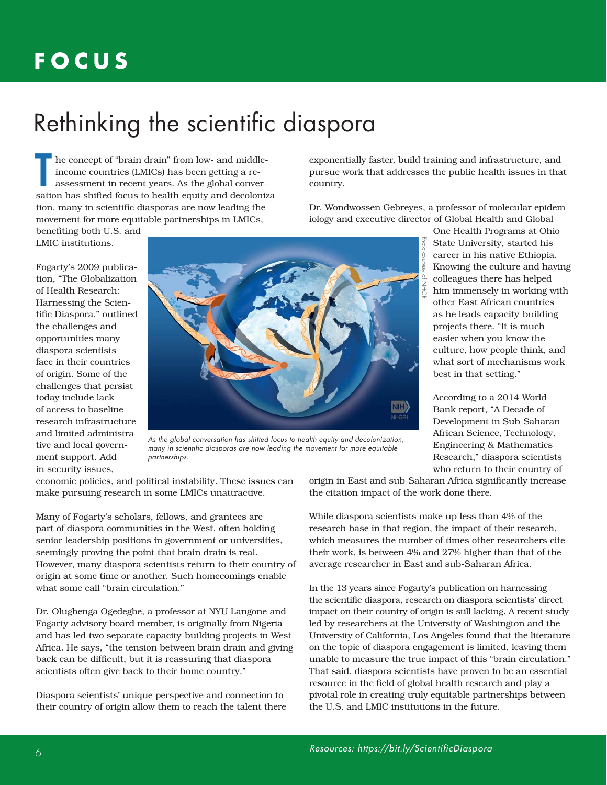### **FOCUS**

### Rethinking the scientific diaspora

 he concept of "brain drain" from low- and middle income countries (LMICs) has been getting a re assessment in recent years. As the global conver-The concept of "brain drain" from low- and middle-<br>income countries (LMICs) has been getting a re-<br>assessment in recent years. As the global conver-<br>sation has shifted focus to health equity and decolonization, many in scientific diasporas are now leading the movement for more equitable partnerships in LMICs,

benefiting both U.S. and LMIC institutions.

Fogarty's 2009 publication, "The Globalization of Health Research: Harnessing the Scientific Diaspora," outlined the challenges and opportunities many diaspora scientists face in their countries of origin. Some of the challenges that persist today include lack of access to baseline research infrastructure and limited administrative and local government support. Add in security issues,



*As the global conversation has shifted focus to health equity and decolonization, many in scientific diasporas are now leading the movement for more equitable partnerships.*

economic policies, and political instability. These issues can make pursuing research in some LMICs unattractive.

Many of Fogarty's scholars, fellows, and grantees are part of diaspora communities in the West, often holding senior leadership positions in government or universities, seemingly proving the point that brain drain is real. However, many diaspora scientists return to their country of origin at some time or another. Such homecomings enable what some call "brain circulation."

Dr. Olugbenga Ogedegbe, a professor at NYU Langone and Fogarty advisory board member, is originally from Nigeria and has led two separate capacity-building projects in West Africa. He says, "the tension between brain drain and giving back can be difficult, but it is reassuring that diaspora scientists often give back to their home country."

Diaspora scientists' unique perspective and connection to their country of origin allow them to reach the talent there

exponentially faster, build training and infrastructure, and pursue work that addresses the public health issues in that country.

Dr. Wondwossen Gebreyes, a professor of molecular epidemiology and executive director of Global Health and Global

> One Health Programs at Ohio State University, started his career in his native Ethiopia. Knowing the culture and having colleagues there has helped him immensely in working with other East African countries as he leads capacity-building projects there. "It is much easier when you know the culture, how people think, and what sort of mechanisms work best in that setting."

According to a 2014 World Bank report, "A Decade of Development in Sub-Saharan African Science, Technology, Engineering & Mathematics Research," diaspora scientists who return to their country of

origin in East and sub-Saharan Africa significantly increase the citation impact of the work done there.

While diaspora scientists make up less than 4% of the research base in that region, the impact of their research, which measures the number of times other researchers cite their work, is between 4% and 27% higher than that of the average researcher in East and sub-Saharan Africa.

In the 13 years since Fogarty's publication on harnessing the scientific diaspora, research on diaspora scientists' direct impact on their country of origin is still lacking. A recent study led by researchers at the University of Washington and the University of California, Los Angeles found that the literature on the topic of diaspora engagement is limited, leaving them unable to measure the true impact of this "brain circulation." That said, diaspora scientists have proven to be an essential resource in the field of global health research and play a pivotal role in creating truly equitable partnerships between the U.S. and LMIC institutions in the future.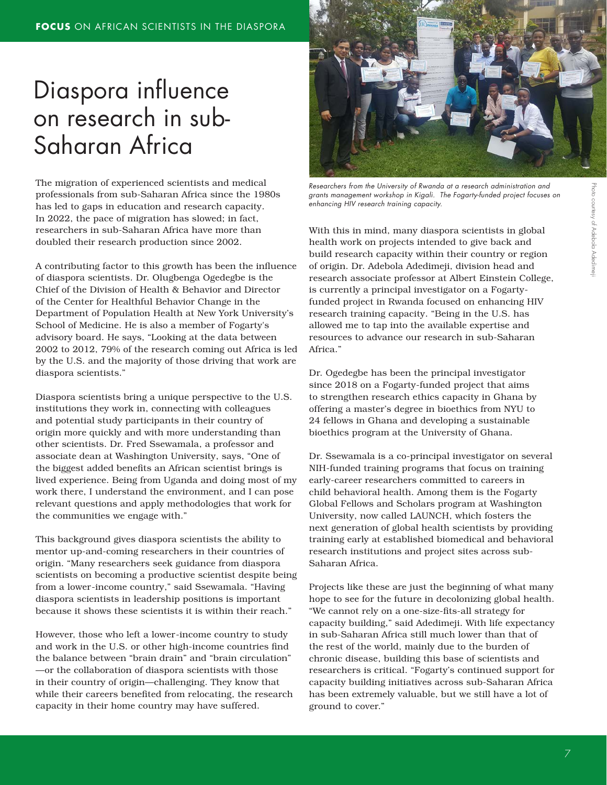### Diaspora influence on research in sub-Saharan Africa

The migration of experienced scientists and medical professionals from sub-Saharan Africa since the 1980s has led to gaps in education and research capacity. In 2022, the pace of migration has slowed; in fact, researchers in sub-Saharan Africa have more than doubled their research production since 2002.

A contributing factor to this growth has been the influence of diaspora scientists. Dr. Olugbenga Ogedegbe is the Chief of the Division of Health & Behavior and Director of the Center for Healthful Behavior Change in the Department of Population Health at New York University's School of Medicine. He is also a member of Fogarty's advisory board. He says, "Looking at the data between 2002 to 2012, 79% of the research coming out Africa is led by the U.S. and the majority of those driving that work are diaspora scientists."

Diaspora scientists bring a unique perspective to the U.S. institutions they work in, connecting with colleagues and potential study participants in their country of origin more quickly and with more understanding than other scientists. Dr. Fred Ssewamala, a professor and associate dean at Washington University, says, "One of the biggest added benefits an African scientist brings is lived experience. Being from Uganda and doing most of my work there, I understand the environment, and I can pose relevant questions and apply methodologies that work for the communities we engage with."

This background gives diaspora scientists the ability to mentor up-and-coming researchers in their countries of origin. "Many researchers seek guidance from diaspora scientists on becoming a productive scientist despite being from a lower-income country," said Ssewamala. "Having diaspora scientists in leadership positions is important because it shows these scientists it is within their reach."

However, those who left a lower-income country to study and work in the U.S. or other high-income countries find the balance between "brain drain" and "brain circulation" —or the collaboration of diaspora scientists with those in their country of origin—challenging. They know that while their careers benefited from relocating, the research capacity in their home country may have suffered.



*Researchers from the University of Rwanda at a research administration and grants management workshop in Kigali. The Fogarty-funded project focuses on enhancing HIV research training capacity.*

With this in mind, many diaspora scientists in global health work on projects intended to give back and build research capacity within their country or region of origin. Dr. Adebola Adedimeji, division head and research associate professor at Albert Einstein College, is currently a principal investigator on a Fogartyfunded project in Rwanda focused on enhancing HIV research training capacity. "Being in the U.S. has allowed me to tap into the available expertise and resources to advance our research in sub-Saharan Africa."

Dr. Ogedegbe has been the principal investigator since 2018 on a Fogarty-funded project that aims to strengthen research ethics capacity in Ghana by offering a master's degree in bioethics from NYU to 24 fellows in Ghana and developing a sustainable bioethics program at the University of Ghana.

Dr. Ssewamala is a co-principal investigator on several NIH-funded training programs that focus on training early-career researchers committed to careers in child behavioral health. Among them is the Fogarty Global Fellows and Scholars program at Washington University, now called LAUNCH, which fosters the next generation of global health scientists by providing training early at established biomedical and behavioral research institutions and project sites across sub-Saharan Africa.

Projects like these are just the beginning of what many hope to see for the future in decolonizing global health. "We cannot rely on a one-size-fits-all strategy for capacity building," said Adedimeji. With life expectancy in sub-Saharan Africa still much lower than that of the rest of the world, mainly due to the burden of chronic disease, building this base of scientists and researchers is critical. "Fogarty's continued support for capacity building initiatives across sub-Saharan Africa has been extremely valuable, but we still have a lot of ground to cover."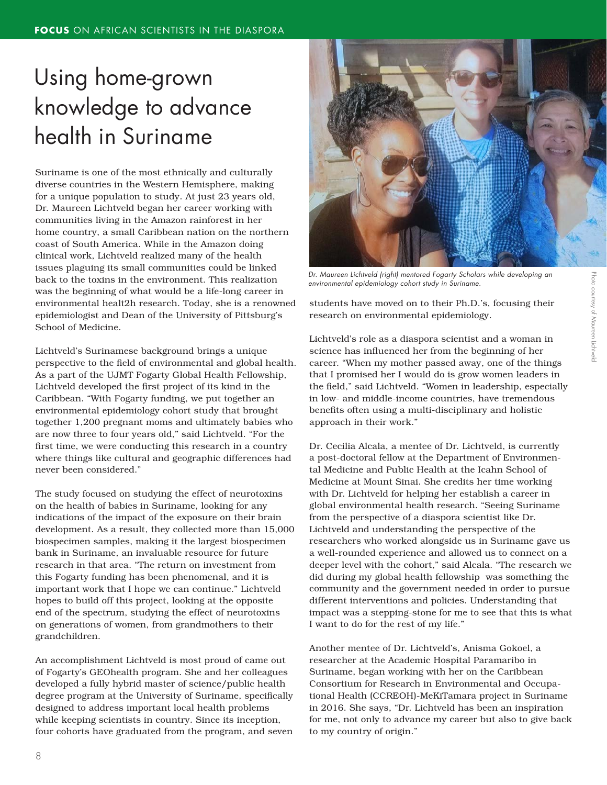### Using home-grown knowledge to advance health in Suriname

Suriname is one of the most ethnically and culturally diverse countries in the Western Hemisphere, making for a unique population to study. At just 23 years old, Dr. Maureen Lichtveld began her career working with communities living in the Amazon rainforest in her home country, a small Caribbean nation on the northern coast of South America. While in the Amazon doing clinical work, Lichtveld realized many of the health issues plaguing its small communities could be linked back to the toxins in the environment. This realization was the beginning of what would be a life-long career in environmental healt2h research. Today, she is a renowned epidemiologist and Dean of the University of Pittsburg's School of Medicine.

Lichtveld's Surinamese background brings a unique perspective to the field of environmental and global health. As a part of the UJMT Fogarty Global Health Fellowship, Lichtveld developed the first project of its kind in the Caribbean. "With Fogarty funding, we put together an environmental epidemiology cohort study that brought together 1,200 pregnant moms and ultimately babies who are now three to four years old," said Lichtveld. "For the first time, we were conducting this research in a country where things like cultural and geographic differences had never been considered."

The study focused on studying the effect of neurotoxins on the health of babies in Suriname, looking for any indications of the impact of the exposure on their brain development. As a result, they collected more than 15,000 biospecimen samples, making it the largest biospecimen bank in Suriname, an invaluable resource for future research in that area. "The return on investment from this Fogarty funding has been phenomenal, and it is important work that I hope we can continue." Lichtveld hopes to build off this project, looking at the opposite end of the spectrum, studying the effect of neurotoxins on generations of women, from grandmothers to their grandchildren.

An accomplishment Lichtveld is most proud of came out of Fogarty's GEOhealth program. She and her colleagues developed a fully hybrid master of science/public health degree program at the University of Suriname, specifically designed to address important local health problems while keeping scientists in country. Since its inception, four cohorts have graduated from the program, and seven



*Dr. Maureen Lichtveld (right) mentored Fogarty Scholars while developing an environmental epidemiology cohort study in Suriname.* 

students have moved on to their Ph.D.'s, focusing their research on environmental epidemiology.

Lichtveld's role as a diaspora scientist and a woman in science has influenced her from the beginning of her career. "When my mother passed away, one of the things that I promised her I would do is grow women leaders in the field," said Lichtveld. "Women in leadership, especially in low- and middle-income countries, have tremendous benefits often using a multi-disciplinary and holistic approach in their work."

Dr. Cecilia Alcala, a mentee of Dr. Lichtveld, is currently a post-doctoral fellow at the Department of Environmental Medicine and Public Health at the Icahn School of Medicine at Mount Sinai. She credits her time working with Dr. Lichtveld for helping her establish a career in global environmental health research. "Seeing Suriname from the perspective of a diaspora scientist like Dr. Lichtveld and understanding the perspective of the researchers who worked alongside us in Suriname gave us a well-rounded experience and allowed us to connect on a deeper level with the cohort," said Alcala. "The research we did during my global health fellowship was something the community and the government needed in order to pursue different interventions and policies. Understanding that impact was a stepping-stone for me to see that this is what I want to do for the rest of my life."

Another mentee of Dr. Lichtveld's, Anisma Gokoel, a researcher at the Academic Hospital Paramaribo in Suriname, began working with her on the Caribbean Consortium for Research in Environmental and Occupational Health (CCREOH)-MeKiTamara project in Suriname in 2016. She says, "Dr. Lichtveld has been an inspiration for me, not only to advance my career but also to give back to my country of origin."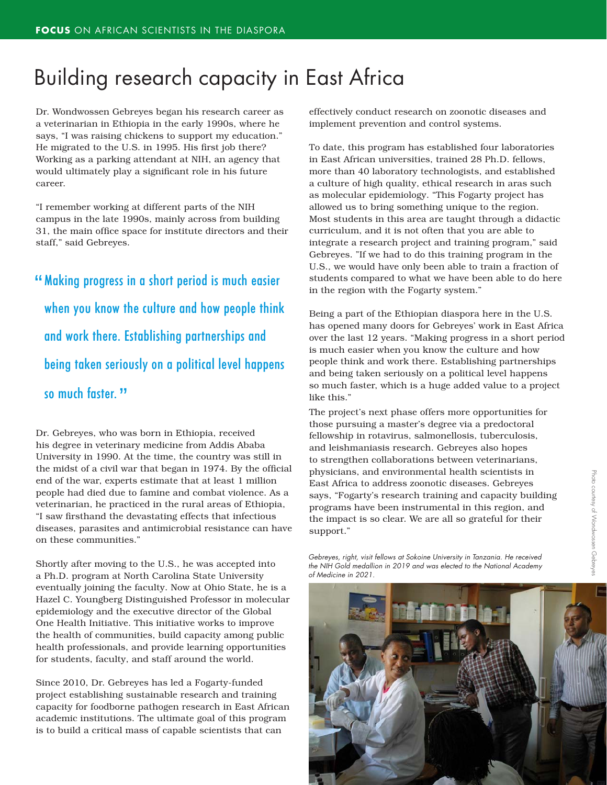### Building research capacity in East Africa

Dr. Wondwossen Gebreyes began his research career as a veterinarian in Ethiopia in the early 1990s, where he says, "I was raising chickens to support my education." He migrated to the U.S. in 1995. His first job there? Working as a parking attendant at NIH, an agency that would ultimately play a significant role in his future career.

"I remember working at different parts of the NIH campus in the late 1990s, mainly across from building 31, the main office space for institute directors and their staff," said Gebreyes.

" Making progress in a short period is much easier when you know the culture and how people think and work there. Establishing partnerships and being taken seriously on a political level happens so much faster. "

Dr. Gebreyes, who was born in Ethiopia, received his degree in veterinary medicine from Addis Ababa University in 1990. At the time, the country was still in the midst of a civil war that began in 1974. By the official end of the war, experts estimate that at least 1 million people had died due to famine and combat violence. As a veterinarian, he practiced in the rural areas of Ethiopia, "I saw firsthand the devastating effects that infectious diseases, parasites and antimicrobial resistance can have on these communities."

Shortly after moving to the U.S., he was accepted into a Ph.D. program at North Carolina State University eventually joining the faculty. Now at Ohio State, he is a Hazel C. Youngberg Distinguished Professor in molecular epidemiology and the executive director of the Global One Health Initiative. This initiative works to improve the health of communities, build capacity among public health professionals, and provide learning opportunities for students, faculty, and staff around the world.

Since 2010, Dr. Gebreyes has led a Fogarty-funded project establishing sustainable research and training capacity for foodborne pathogen research in East African academic institutions. The ultimate goal of this program is to build a critical mass of capable scientists that can

effectively conduct research on zoonotic diseases and implement prevention and control systems.

To date, this program has established four laboratories in East African universities, trained 28 Ph.D. fellows, more than 40 laboratory technologists, and established a culture of high quality, ethical research in aras such as molecular epidemiology. "This Fogarty project has allowed us to bring something unique to the region. Most students in this area are taught through a didactic curriculum, and it is not often that you are able to integrate a research project and training program," said Gebreyes. "If we had to do this training program in the U.S., we would have only been able to train a fraction of students compared to what we have been able to do here in the region with the Fogarty system."

Being a part of the Ethiopian diaspora here in the U.S. has opened many doors for Gebreyes' work in East Africa over the last 12 years. "Making progress in a short period is much easier when you know the culture and how people think and work there. Establishing partnerships and being taken seriously on a political level happens so much faster, which is a huge added value to a project like this."

The project's next phase offers more opportunities for those pursuing a master's degree via a predoctoral fellowship in rotavirus, salmonellosis, tuberculosis, and leishmaniasis research. Gebreyes also hopes to strengthen collaborations between veterinarians, physicians, and environmental health scientists in East Africa to address zoonotic diseases. Gebreyes says, "Fogarty's research training and capacity building programs have been instrumental in this region, and the impact is so clear. We are all so grateful for their support."

*Gebreyes, right, visit fellows at Sokoine University in Tanzania. He received the NIH Gold medallion in 2019 and was elected to the National Academy of Medicine in 2021.*

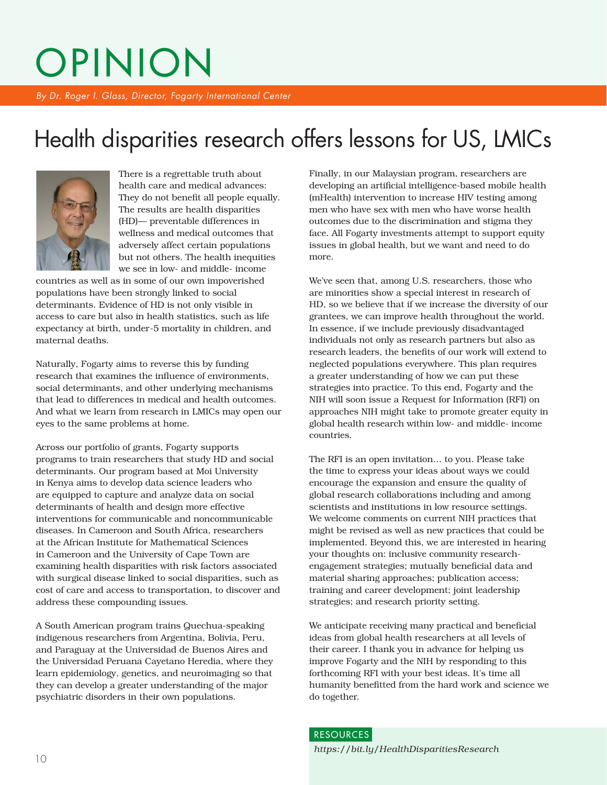# OPINION

*By Dr. Roger I. Glass, Director, Fogarty International Center*

### Health disparities research offers lessons for US, LMICs



There is a regrettable truth about health care and medical advances: They do not benefit all people equally. The results are health disparities (HD)— preventable differences in wellness and medical outcomes that adversely affect certain populations but not others. The health inequities we see in low- and middle- income

countries as well as in some of our own impoverished populations have been strongly linked to social determinants. Evidence of HD is not only visible in access to care but also in health statistics, such as life expectancy at birth, under-5 mortality in children, and maternal deaths.

Naturally, Fogarty aims to reverse this by funding research that examines the influence of environments, social determinants, and other underlying mechanisms that lead to differences in medical and health outcomes. And what we learn from research in LMICs may open our eyes to the same problems at home.

Across our portfolio of grants, Fogarty supports programs to train researchers that study HD and social determinants. Our program based at Moi University in Kenya aims to develop data science leaders who are equipped to capture and analyze data on social determinants of health and design more effective interventions for communicable and noncommunicable diseases. In Cameroon and South Africa, researchers at the African Institute for Mathematical Sciences in Cameroon and the University of Cape Town are examining health disparities with risk factors associated with surgical disease linked to social disparities, such as cost of care and access to transportation, to discover and address these compounding issues.

A South American program trains Quechua-speaking indigenous researchers from Argentina, Bolivia, Peru, and Paraguay at the Universidad de Buenos Aires and the Universidad Peruana Cayetano Heredia, where they learn epidemiology, genetics, and neuroimaging so that they can develop a greater understanding of the major psychiatric disorders in their own populations.

Finally, in our Malaysian program, researchers are developing an artificial intelligence-based mobile health (mHealth) intervention to increase HIV testing among men who have sex with men who have worse health outcomes due to the discrimination and stigma they face. All Fogarty investments attempt to support equity issues in global health, but we want and need to do more.

We've seen that, among U.S. researchers, those who are minorities show a special interest in research of HD, so we believe that if we increase the diversity of our grantees, we can improve health throughout the world. In essence, if we include previously disadvantaged individuals not only as research partners but also as research leaders, the benefits of our work will extend to neglected populations everywhere. This plan requires a greater understanding of how we can put these strategies into practice. To this end, Fogarty and the NIH will soon issue a Request for Information (RFI) on approaches NIH might take to promote greater equity in global health research within low- and middle- income countries.

The RFI is an open invitation… to you. Please take the time to express your ideas about ways we could encourage the expansion and ensure the quality of global research collaborations including and among scientists and institutions in low resource settings. We welcome comments on current NIH practices that might be revised as well as new practices that could be implemented. Beyond this, we are interested in hearing your thoughts on: inclusive community researchengagement strategies; mutually beneficial data and material sharing approaches; publication access; training and career development; joint leadership strategies; and research priority setting.

We anticipate receiving many practical and beneficial ideas from global health researchers at all levels of their career. I thank you in advance for helping us improve Fogarty and the NIH by responding to this forthcoming RFI with your best ideas. It's time all humanity benefitted from the hard work and science we do together.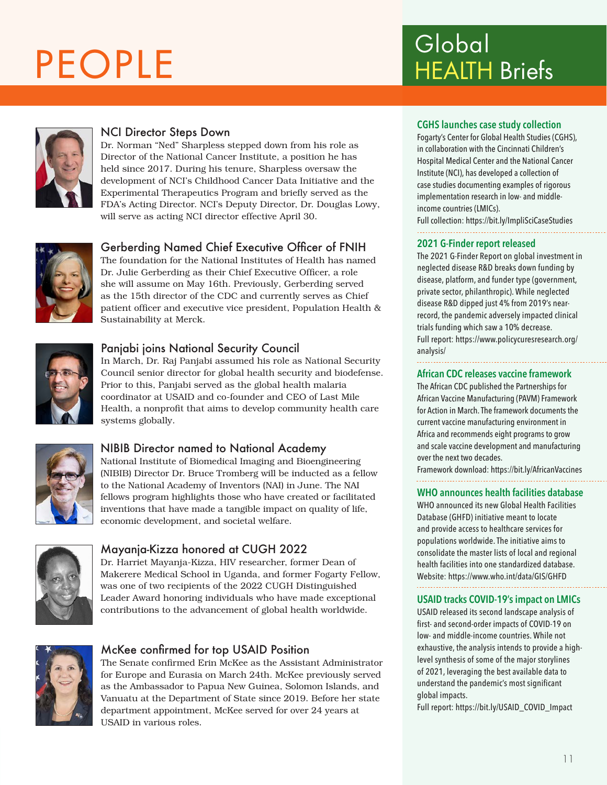# PEOPLE Global



### NCI Director Steps Down

Dr. Norman "Ned" Sharpless stepped down from his role as Director of the National Cancer Institute, a position he has held since 2017. During his tenure, Sharpless oversaw the development of NCI's Childhood Cancer Data Initiative and the Experimental Therapeutics Program and briefly served as the FDA's Acting Director. NCI's Deputy Director, Dr. Douglas Lowy, will serve as acting NCI director effective April 30.



### Gerberding Named Chief Executive Officer of FNIH

The foundation for the National Institutes of Health has named Dr. Julie Gerberding as their Chief Executive Officer, a role she will assume on May 16th. Previously, Gerberding served as the 15th director of the CDC and currently serves as Chief patient officer and executive vice president, Population Health & Sustainability at Merck.



### Panjabi joins National Security Council

In March, Dr. Raj Panjabi assumed his role as National Security Council senior director for global health security and biodefense. Prior to this, Panjabi served as the global health malaria coordinator at USAID and co-founder and CEO of Last Mile Health, a nonprofit that aims to develop community health care systems globally.



### NIBIB Director named to National Academy

National Institute of Biomedical Imaging and Bioengineering (NIBIB) Director Dr. Bruce Tromberg will be inducted as a fellow to the National Academy of Inventors (NAI) in June. The NAI fellows program highlights those who have created or facilitated inventions that have made a tangible impact on quality of life, economic development, and societal welfare.



### Mayanja-Kizza honored at CUGH 2022

Dr. Harriet Mayanja-Kizza, HIV researcher, former Dean of Makerere Medical School in Uganda, and former Fogarty Fellow, was one of two recipients of the 2022 CUGH Distinguished Leader Award honoring individuals who have made exceptional contributions to the advancement of global health worldwide.



### McKee confirmed for top USAID Position

The Senate confirmed Erin McKee as the Assistant Administrator for Europe and Eurasia on March 24th. McKee previously served as the Ambassador to Papua New Guinea, Solomon Islands, and Vanuatu at the Department of State since 2019. Before her state department appointment, McKee served for over 24 years at USAID in various roles.

# HEALTH Briefs

#### **CGHS launches case study collection**

Fogarty's Center for Global Health Studies (CGHS), in collaboration with the Cincinnati Children's Hospital Medical Center and the National Cancer Institute (NCI), has developed a collection of case studies documenting examples of rigorous implementation research in low- and middleincome countries (LMICs).

Full collection: https://bit.ly/ImpliSciCaseStudies

#### **2021 G-Finder report released**

The 2021 G-Finder Report on global investment in neglected disease R&D breaks down funding by disease, platform, and funder type (government, private sector, philanthropic). While neglected disease R&D dipped just 4% from 2019's nearrecord, the pandemic adversely impacted clinical trials funding which saw a 10% decrease. Full report: https://www.policycuresresearch.org/ analysis/

#### **African CDC releases vaccine framework**

The African CDC published the Partnerships for African Vaccine Manufacturing (PAVM) Framework for Action in March. The framework documents the current vaccine manufacturing environment in Africa and recommends eight programs to grow and scale vaccine development and manufacturing over the next two decades.

Framework download: https://bit.ly/AfricanVaccines

#### **WHO announces health facilities database**

WHO announced its new Global Health Facilities Database (GHFD) initiative meant to locate and provide access to healthcare services for populations worldwide. The initiative aims to consolidate the master lists of local and regional health facilities into one standardized database. Website: https://www.who.int/data/GIS/GHFD

#### **USAID tracks COVID-19's impact on LMICs**

USAID released its second landscape analysis of first- and second-order impacts of COVID-19 on low- and middle-income countries. While not exhaustive, the analysis intends to provide a highlevel synthesis of some of the major storylines of 2021, leveraging the best available data to understand the pandemic's most significant global impacts.

Full report: https://bit.ly/USAID\_COVID\_Impact